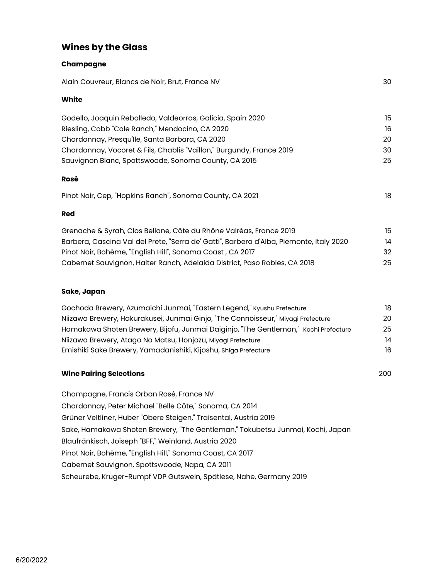## **Wines by the Glass**

#### **Champagne**

| 30 |
|----|
|    |
| 15 |
| 16 |
| 20 |
| 30 |
| 25 |
|    |
| 18 |
|    |
|    |

| Grenache & Syrah, Clos Bellane, Côte du Rhône Valréas, France 2019                      | וטו |
|-----------------------------------------------------------------------------------------|-----|
| Barbera, Cascina Val del Prete, "Serra de' Gatti", Barbera d'Alba, Piemonte, Italy 2020 | 14  |
| Pinot Noir, Bohème, "English Hill", Sonoma Coast, CA 2017                               | 32  |
| Cabernet Sauvignon, Halter Ranch, Adelaida District, Paso Robles, CA 2018               | 25  |

#### **Sake, Japan**

| Gochoda Brewery, Azumaichi Junmai, "Eastern Legend," Kyushu Prefecture              |     |
|-------------------------------------------------------------------------------------|-----|
| Niizawa Brewery, Hakurakusei, Junmai Ginjo, "The Connoisseur," Miyagi Prefecture    | 20  |
| Hamakawa Shoten Brewery, Bijofu, Junmai Daiginjo, "The Gentleman," Kochi Prefecture | 25  |
| Niizawa Brewery, Ataqo No Matsu, Honjozu, Miyagi Prefecture                         | 14  |
| Emishiki Sake Brewery, Yamadanishiki, Kijoshu, Shiga Prefecture                     | 16. |
|                                                                                     |     |

#### **Wine Pairing Selections** 200

Champagne, Francis Orban Rosé, France NV Chardonnay, Peter Michael "Belle Côte," Sonoma, CA 2014 Grüner Veltliner, Huber "Obere Steigen," Traisental, Austria 2019 Sake, Hamakawa Shoten Brewery, "The Gentleman," Tokubetsu Junmai, Kochi, Japan Blaufränkisch, Joiseph "BFF," Weinland, Austria 2020 Pinot Noir, Bohème, "English Hill," Sonoma Coast, CA 2017 Cabernet Sauvignon, Spottswoode, Napa, CA 2011 Scheurebe, Kruger-Rumpf VDP Gutswein, Spätlese, Nahe, Germany 2019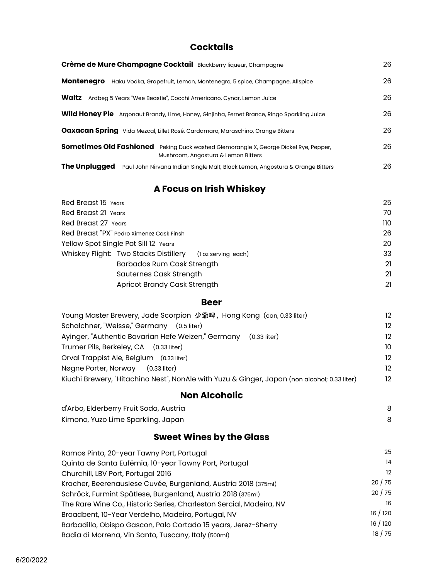# **Cocktails**

| Crème de Mure Champagne Cocktail Blackberry liqueur, Champagne                                                              | 26                |
|-----------------------------------------------------------------------------------------------------------------------------|-------------------|
| <b>Montenegro</b> Haku Vodka, Grapefruit, Lemon, Montenegro, 5 spice, Champagne, Allspice                                   | 26                |
| <b>Waltz</b> Ardbeg 5 Years "Wee Beastie", Cocchi Americano, Cynar, Lemon Juice                                             | 26                |
| Wild Honey Pie Argonaut Brandy, Lime, Honey, Ginjinha, Fernet Brance, Ringo Sparkling Juice                                 | 26                |
| Oaxacan Spring Vida Mezcal, Lillet Rosé, Cardamaro, Maraschino, Orange Bitters                                              | 26                |
| Sometimes Old Fashioned Peking Duck washed Glemorangie X, George Dickel Rye, Pepper,<br>Mushroom, Angostura & Lemon Bitters | 26                |
| The Unplugged Paul John Nirvana Indian Single Malt, Black Lemon, Angostura & Orange Bitters                                 | 26                |
| A Focus on Irish Whiskey                                                                                                    |                   |
| Red Breast 15 Years                                                                                                         | 25                |
| <b>Red Breast 21 Years</b>                                                                                                  | 70                |
| Red Breast 27 Years                                                                                                         | 110               |
| Red Breast "PX" Pedro Ximenez Cask Finsh                                                                                    | 26                |
| Yellow Spot Single Pot Sill 12 Years                                                                                        | 20                |
| Whiskey Flight: Two Stacks Distillery<br>(1 oz serving each)                                                                | 33                |
| Barbados Rum Cask Strength                                                                                                  | 21                |
| Sauternes Cask Strength                                                                                                     | 21                |
| Apricot Brandy Cask Strength                                                                                                | 21                |
| <b>Beer</b>                                                                                                                 |                   |
| Young Master Brewery, Jade Scorpion 少爺啤, Hong Kong (can, 0.33 liter)                                                        | $12 \overline{ }$ |
| Schalchner, "Weisse," Germany (0.5 liter)                                                                                   | 12                |
| Ayinger, "Authentic Bavarian Hefe Weizen," Germany<br>$(0.33$ liter)                                                        | $12 \overline{ }$ |
| Trumer Pils, Berkeley, CA (0.33 liter)                                                                                      | 10                |
| Orval Trappist Ale, Belgium (0.33 liter)                                                                                    | 12                |
| Nøgne Porter, Norway<br>$(0.33$ liter)                                                                                      | 12                |

## **Non Alcoholic**

| d'Arbo, Elderberry Fruit Soda, Austria |  |
|----------------------------------------|--|
| Kimono, Yuzo Lime Sparkling, Japan     |  |

Kiuchi Brewery, "Hitachino Nest", NonAle with Yuzu & Ginger, Japan (non alcohol; 0.33 liter) 12

# **Sweet Wines by the Glass**

| Ramos Pinto, 20-year Tawny Port, Portugal                           | 25     |
|---------------------------------------------------------------------|--------|
| Quinta de Santa Eufémia, 10-year Tawny Port, Portugal               | 14     |
| Churchill, LBV Port, Portugal 2016                                  | 12     |
| Kracher, Beerenauslese Cuvée, Burgenland, Austria 2018 (375ml)      | 20/75  |
| Schröck, Furmint Spätlese, Burgenland, Austria 2018 (375ml)         | 20/75  |
| The Rare Wine Co., Historic Series, Charleston Sercial, Madeira, NV | 16     |
| Broadbent, 10-Year Verdelho, Madeira, Portugal, NV                  | 16/120 |
| Barbadillo, Obispo Gascon, Palo Cortado 15 years, Jerez-Sherry      | 16/120 |
| Badia di Morrena, Vin Santo, Tuscany, Italy (500ml)                 | 18/75  |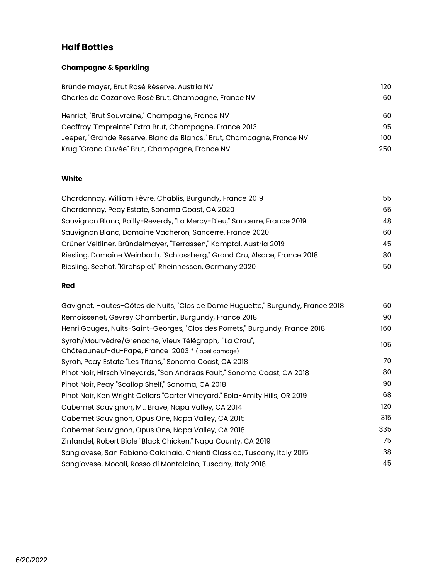# **Half Bottles**

# **Champagne & Sparkling**

| Bründelmayer, Brut Rosé Réserve, Austria NV                           | 120 |
|-----------------------------------------------------------------------|-----|
| Charles de Cazanove Rosé Brut, Champagne, France NV                   | 60  |
| Henriot, "Brut Souvraine," Champagne, France NV                       | 60  |
| Geoffroy "Empreinte" Extra Brut, Champagne, France 2013               | 95  |
| Jeeper, "Grande Reserve, Blanc de Blancs," Brut, Champagne, France NV | 100 |
| Krug "Grand Cuvée" Brut, Champagne, France NV                         | 250 |

### **White**

| Chardonnay, William Fèvre, Chablis, Burgundy, France 2019                 | 55 |
|---------------------------------------------------------------------------|----|
| Chardonnay, Peay Estate, Sonoma Coast, CA 2020                            | 65 |
| Sauvignon Blanc, Bailly-Reverdy, "La Mercy-Dieu," Sancerre, France 2019   | 48 |
| Sauvignon Blanc, Domaine Vacheron, Sancerre, France 2020                  | 60 |
| Grüner Veltliner, Bründelmayer, "Terrassen," Kamptal, Austria 2019        | 45 |
| Riesling, Domaine Weinbach, "Schlossberg," Grand Cru, Alsace, France 2018 | 80 |
| Riesling, Seehof, "Kirchspiel," Rheinhessen, Germany 2020                 | 50 |

### **Red**

| Gavignet, Hautes-Côtes de Nuits, "Clos de Dame Huguette," Burgundy, France 2018                            | 60  |
|------------------------------------------------------------------------------------------------------------|-----|
| Remoissenet, Gevrey Chambertin, Burgundy, France 2018                                                      | 90  |
| Henri Gouges, Nuits-Saint-Georges, "Clos des Porrets," Burgundy, France 2018                               | 160 |
| Syrah/Mourvèdre/Grenache, Vieux Télégraph, "La Crau",<br>Châteauneuf-du-Pape, France 2003 * (label damage) | 105 |
| Syrah, Peay Estate "Les Titans," Sonoma Coast, CA 2018                                                     | 70  |
| Pinot Noir, Hirsch Vineyards, "San Andreas Fault," Sonoma Coast, CA 2018                                   | 80  |
| Pinot Noir, Peay "Scallop Shelf," Sonoma, CA 2018                                                          | 90  |
| Pinot Noir, Ken Wright Cellars "Carter Vineyard," Eola-Amity Hills, OR 2019                                | 68  |
| Cabernet Sauvignon, Mt. Brave, Napa Valley, CA 2014                                                        | 120 |
| Cabernet Sauvignon, Opus One, Napa Valley, CA 2015                                                         | 315 |
| Cabernet Sauvignon, Opus One, Napa Valley, CA 2018                                                         | 335 |
| Zinfandel, Robert Biale "Black Chicken," Napa County, CA 2019                                              | 75  |
| Sangiovese, San Fabiano Calcinaia, Chianti Classico, Tuscany, Italy 2015                                   | 38  |
| Sangiovese, Mocali, Rosso di Montalcino, Tuscany, Italy 2018                                               | 45  |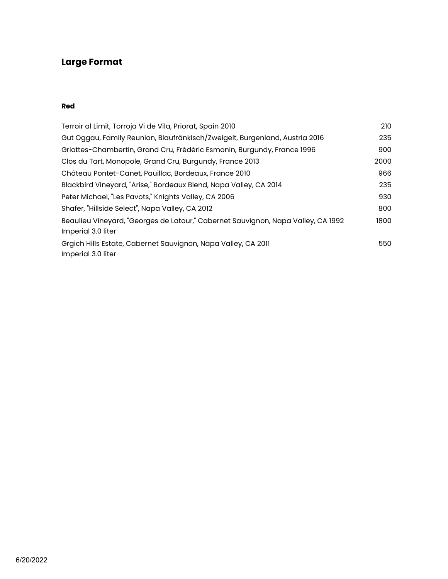# **Large Format**

### **Red**

| Terroir al Limit, Torroja Vi de Vila, Priorat, Spain 2010                                              | 210  |
|--------------------------------------------------------------------------------------------------------|------|
| Gut Oggau, Family Reunion, Blaufränkisch/Zweigelt, Burgenland, Austria 2016                            | 235  |
| Griottes-Chambertin, Grand Cru, Frédéric Esmonin, Burgundy, France 1996                                | 900  |
| Clos du Tart, Monopole, Grand Cru, Burgundy, France 2013                                               | 2000 |
| Château Pontet-Canet, Pauillac, Bordeaux, France 2010                                                  | 966  |
| Blackbird Vineyard, "Arise," Bordeaux Blend, Napa Valley, CA 2014                                      | 235  |
| Peter Michael, "Les Pavots," Knights Valley, CA 2006                                                   | 930  |
| Shafer, "Hillside Select", Napa Valley, CA 2012                                                        | 800  |
| Beaulieu Vineyard, "Georges de Latour," Cabernet Sauvignon, Napa Valley, CA 1992<br>Imperial 3.0 liter | 1800 |
| Grgich Hills Estate, Cabernet Sauvignon, Napa Valley, CA 2011<br>Imperial 3.0 liter                    | 550  |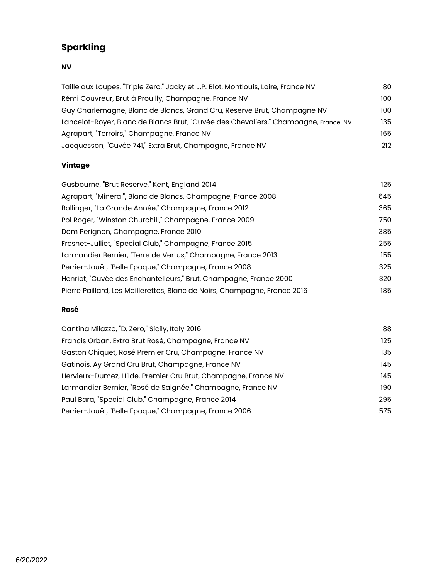# **Sparkling**

### **NV**

| Taille aux Loupes, "Triple Zero," Jacky et J.P. Blot, Montlouis, Loire, France NV  | 80  |
|------------------------------------------------------------------------------------|-----|
| Rémi Couvreur, Brut à Prouilly, Champagne, France NV                               | 100 |
| Guy Charlemagne, Blanc de Blancs, Grand Cru, Reserve Brut, Champagne NV            | 100 |
| Lancelot-Royer, Blanc de Blancs Brut, "Cuvée des Chevaliers," Champagne, France NV | 135 |
| Agrapart, "Terroirs," Champagne, France NV                                         | 165 |
| Jacquesson, "Cuvée 741," Extra Brut, Champagne, France NV                          | 212 |

# **Vintage**

| Gusbourne, "Brut Reserve," Kent, England 2014                             | 125 |
|---------------------------------------------------------------------------|-----|
| Agrapart, "Mineral", Blanc de Blancs, Champagne, France 2008              | 645 |
| Bollinger, "La Grande Année," Champagne, France 2012                      | 365 |
| Pol Roger, "Winston Churchill," Champagne, France 2009                    | 750 |
| Dom Perignon, Champagne, France 2010                                      | 385 |
| Fresnet-Julliet, "Special Club," Champagne, France 2015                   | 255 |
| Larmandier Bernier, "Terre de Vertus," Champagne, France 2013             | 155 |
| Perrier-Jouët, "Belle Epoque," Champagne, France 2008                     | 325 |
| Henriot, "Cuvée des Enchantelleurs," Brut, Champagne, France 2000         | 320 |
| Pierre Paillard, Les Maillerettes, Blanc de Noirs, Champagne, France 2016 | 185 |

#### **Rosé**

| Cantina Milazzo, "D. Zero," Sicily, Italy 2016                | 88  |
|---------------------------------------------------------------|-----|
| Francis Orban, Extra Brut Rosé, Champagne, France NV          | 125 |
| Gaston Chiquet, Rosé Premier Cru, Champagne, France NV        | 135 |
| Gatinois, Aÿ Grand Cru Brut, Champagne, France NV             | 145 |
| Hervieux-Dumez, Hilde, Premier Cru Brut, Champagne, France NV | 145 |
| Larmandier Bernier, "Rosé de Saignée," Champagne, France NV   | 190 |
| Paul Bara, "Special Club," Champagne, France 2014             | 295 |
| Perrier-Jouët, "Belle Epoque," Champagne, France 2006         | 575 |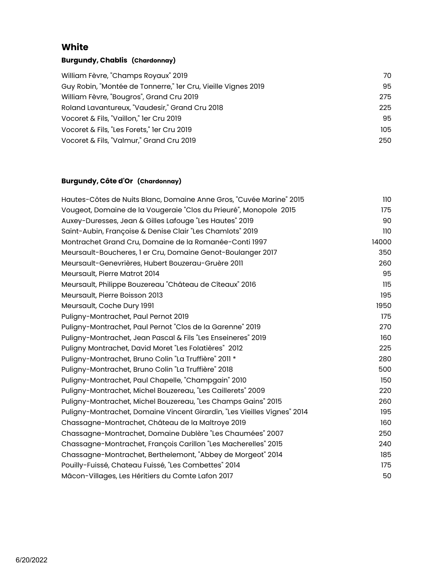# **White**

### **Burgundy, Chablis (Chardonnay)**

| William Fèvre, "Champs Royaux" 2019                           | 70  |
|---------------------------------------------------------------|-----|
| Guy Robin, "Montée de Tonnerre," ler Cru, Vieille Vignes 2019 | 95  |
| William Fèvre, "Bougros", Grand Cru 2019                      | 275 |
| Roland Lavantureux, "Vaudesir," Grand Cru 2018                | 225 |
| Vocoret & Fils, "Vaillon," ler Cru 2019                       | 95  |
| Vocoret & Fils, "Les Forets," ler Cru 2019                    | 105 |
| Vocoret & Fils, "Valmur," Grand Cru 2019                      | 250 |

# **Burgundy, Côte d'Or (Chardonnay)**

| Hautes-Côtes de Nuits Blanc, Domaine Anne Gros, "Cuvée Marine" 2015      | 110   |
|--------------------------------------------------------------------------|-------|
| Vougeot, Domaine de la Vougeraie "Clos du Prieuré", Monopole 2015        | 175   |
| Auxey-Duresses, Jean & Gilles Lafouge "Les Hautes" 2019                  | 90    |
| Saint-Aubin, Françoise & Denise Clair "Les Chamlots" 2019                | 110   |
| Montrachet Grand Cru, Domaine de la Romanée-Conti 1997                   | 14000 |
| Meursault-Boucheres, 1 er Cru, Domaine Genot-Boulanger 2017              | 350   |
| Meursault-Genevrières, Hubert Bouzerau-Gruère 2011                       | 260   |
| Meursault, Pierre Matrot 2014                                            | 95    |
| Meursault, Philippe Bouzereau "Château de Cîteaux" 2016                  | 115   |
| Meursault, Pierre Boisson 2013                                           | 195   |
| Meursault, Coche Dury 1991                                               | 1950  |
| Puligny-Montrachet, Paul Pernot 2019                                     | 175   |
| Puligny-Montrachet, Paul Pernot "Clos de la Garenne" 2019                | 270   |
| Puligny-Montrachet, Jean Pascal & Fils "Les Enseineres" 2019             | 160   |
| Puligny Montrachet, David Moret "Les Folatières" 2012                    | 225   |
| Puligny-Montrachet, Bruno Colin "La Truffière" 2011 *                    | 280   |
| Puligny-Montrachet, Bruno Colin "La Truffière" 2018                      | 500   |
| Puligny-Montrachet, Paul Chapelle, "Champgain" 2010                      | 150   |
| Puligny-Montrachet, Michel Bouzereau, "Les Caillerets" 2009              | 220   |
| Puligny-Montrachet, Michel Bouzereau, "Les Champs Gains" 2015            | 260   |
| Puligny-Montrachet, Domaine Vincent Girardin, "Les Vieilles Vignes" 2014 | 195   |
| Chassagne-Montrachet, Château de la Maltroye 2019                        | 160   |
| Chassagne-Montrachet, Domaine Dublère "Les Chaumées" 2007                | 250   |
| Chassagne-Montrachet, François Carillon "Les Macherelles" 2015           | 240   |
| Chassagne-Montrachet, Berthelemont, "Abbey de Morgeot" 2014              | 185   |
| Pouilly-Fuissé, Chateau Fuissé, "Les Combettes" 2014                     | 175   |
| Mâcon-Villages, Les Héritiers du Comte Lafon 2017                        | 50    |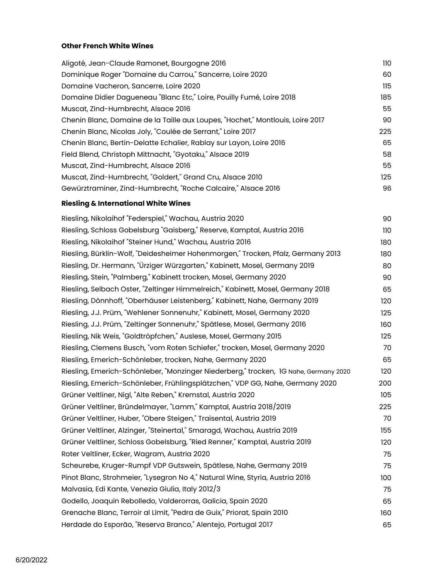### **Other French White Wines**

| Aligoté, Jean-Claude Ramonet, Bourgogne 2016                                         | 110 |
|--------------------------------------------------------------------------------------|-----|
| Dominique Roger "Domaine du Carrou," Sancerre, Loire 2020                            | 60  |
| Domaine Vacheron, Sancerre, Loire 2020                                               | 115 |
| Domaine Didier Dagueneau "Blanc Etc," Loire, Pouilly Fumé, Loire 2018                | 185 |
| Muscat, Zind-Humbrecht, Alsace 2016                                                  | 55  |
| Chenin Blanc, Domaine de la Taille aux Loupes, "Hochet," Montlouis, Loire 2017       | 90  |
| Chenin Blanc, Nicolas Joly, "Coulée de Serrant," Loire 2017                          | 225 |
| Chenin Blanc, Bertin-Delatte Echalier, Rablay sur Layon, Loire 2016                  | 65  |
| Field Blend, Christoph Mittnacht, "Gyotaku," Alsace 2019                             | 58  |
| Muscat, Zind-Humbrecht, Alsace 2016                                                  | 55  |
| Muscat, Zind-Humbrecht, "Goldert," Grand Cru, Alsace 2010                            | 125 |
| Gewürztraminer, Zind-Humbrecht, "Roche Calcaire," Alsace 2016                        | 96  |
| <b>Riesling &amp; International White Wines</b>                                      |     |
| Riesling, Nikolaihof "Federspiel," Wachau, Austria 2020                              | 90  |
| Riesling, Schloss Gobelsburg "Gaisberg," Reserve, Kamptal, Austria 2016              | 110 |
| Riesling, Nikolaihof "Steiner Hund," Wachau, Austria 2016                            | 180 |
| Riesling, Bürklin-Wolf, "Deidesheimer Hohenmorgen," Trocken, Pfalz, Germany 2013     | 180 |
| Riesling, Dr. Hermann, "Ürziger Würzgarten," Kabinett, Mosel, Germany 2019           | 80  |
| Riesling, Stein, "Palmberg," Kabinett trocken, Mosel, Germany 2020                   | 90  |
| Riesling, Selbach Oster, "Zeltinger Himmelreich," Kabinett, Mosel, Germany 2018      | 65  |
| Riesling, Dönnhoff, "Oberhäuser Leistenberg," Kabinett, Nahe, Germany 2019           | 120 |
| Riesling, J.J. Prüm, "Wehlener Sonnenuhr," Kabinett, Mosel, Germany 2020             | 125 |
| Riesling, J.J. Prüm, "Zeltinger Sonnenuhr," Spätlese, Mosel, Germany 2016            | 160 |
| Riesling, Nik Weis, "Goldtröpfchen," Auslese, Mosel, Germany 2015                    | 125 |
| Riesling, Clemens Busch, "vom Roten Schiefer," trocken, Mosel, Germany 2020          | 70  |
| Riesling, Emerich-Schönleber, trocken, Nahe, Germany 2020                            | 65  |
| Riesling, Emerich-Schönleber, "Monzinger Niederberg," trocken, 1G Nahe, Germany 2020 | 120 |
| Riesling, Emerich-Schönleber, Frühlingsplätzchen," VDP GG, Nahe, Germany 2020        | 200 |
| Grüner Veltliner, Nigl, "Alte Reben," Kremstal, Austria 2020                         | 105 |
| Grüner Veltliner, Bründelmayer, "Lamm," Kamptal, Austria 2018/2019                   | 225 |
| Grüner Veltliner, Huber, "Obere Steigen," Traisental, Austria 2019                   | 70  |
| Grüner Veltliner, Alzinger, "Steinertal," Smaragd, Wachau, Austria 2019              | 155 |
| Grüner Veltliner, Schloss Gobelsburg, "Ried Renner," Kamptal, Austria 2019           | 120 |
| Roter Veltliner, Ecker, Wagram, Austria 2020                                         | 75  |
| Scheurebe, Kruger-Rumpf VDP Gutswein, Spätlese, Nahe, Germany 2019                   | 75  |
| Pinot Blanc, Strohmeier, "Lysegron No 4," Natural Wine, Styria, Austria 2016         | 100 |
| Malvasia, Edi Kante, Venezia Giulia, Italy 2012/3                                    | 75  |
| Godello, Joaquin Rebolledo, Valderorras, Galicia, Spain 2020                         | 65  |
| Grenache Blanc, Terroir al Límit, "Pedra de Guix," Priorat, Spain 2010               | 160 |
| Herdade do Esporão, "Reserva Branco," Alentejo, Portugal 2017                        | 65  |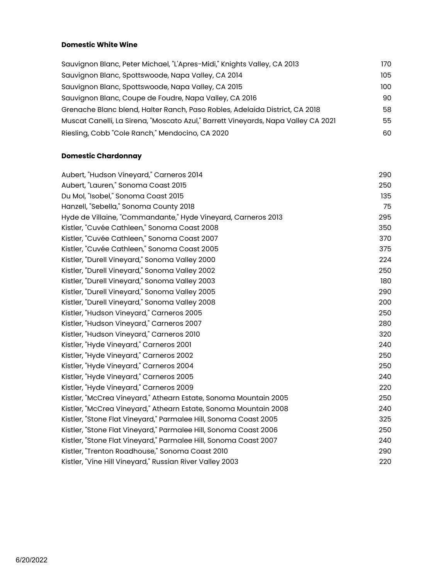#### **Domestic White Wine**

| Sauvignon Blanc, Peter Michael, "L'Apres-Midi," Knights Valley, CA 2013           | 170 |
|-----------------------------------------------------------------------------------|-----|
| Sauvignon Blanc, Spottswoode, Napa Valley, CA 2014                                | 105 |
| Sauvignon Blanc, Spottswoode, Napa Valley, CA 2015                                | 100 |
| Sauvignon Blanc, Coupe de Foudre, Napa Valley, CA 2016                            | 90  |
| Grenache Blanc blend, Halter Ranch, Paso Robles, Adelaida District, CA 2018       | 58  |
| Muscat Canelli, La Sirena, "Moscato Azul," Barrett Vineyards, Napa Valley CA 2021 | 55  |
| Riesling, Cobb "Cole Ranch," Mendocino, CA 2020                                   | 60  |

# **Domestic Chardonnay**

| Aubert, "Hudson Vineyard," Carneros 2014                         | 290 |
|------------------------------------------------------------------|-----|
| Aubert, "Lauren," Sonoma Coast 2015                              | 250 |
| Du Mol, "Isobel," Sonoma Coast 2015                              | 135 |
| Hanzell, "Sebella," Sonoma County 2018                           | 75  |
| Hyde de Villaine, "Commandante," Hyde Vineyard, Carneros 2013    | 295 |
| Kistler, "Cuvée Cathleen," Sonoma Coast 2008                     | 350 |
| Kistler, "Cuvée Cathleen," Sonoma Coast 2007                     | 370 |
| Kistler, "Cuvée Cathleen," Sonoma Coast 2005                     | 375 |
| Kistler, "Durell Vineyard," Sonoma Valley 2000                   | 224 |
| Kistler, "Durell Vineyard," Sonoma Valley 2002                   | 250 |
| Kistler, "Durell Vineyard," Sonoma Valley 2003                   | 180 |
| Kistler, "Durell Vineyard," Sonoma Valley 2005                   | 290 |
| Kistler, "Durell Vineyard," Sonoma Valley 2008                   | 200 |
| Kistler, "Hudson Vineyard," Carneros 2005                        | 250 |
| Kistler, "Hudson Vineyard," Carneros 2007                        | 280 |
| Kistler, "Hudson Vineyard," Carneros 2010                        | 320 |
| Kistler, "Hyde Vineyard," Carneros 2001                          | 240 |
| Kistler, "Hyde Vineyard," Carneros 2002                          | 250 |
| Kistler, "Hyde Vineyard," Carneros 2004                          | 250 |
| Kistler, "Hyde Vineyard," Carneros 2005                          | 240 |
| Kistler, "Hyde Vineyard," Carneros 2009                          | 220 |
| Kistler, "McCrea Vineyard," Athearn Estate, Sonoma Mountain 2005 | 250 |
| Kistler, "McCrea Vineyard," Athearn Estate, Sonoma Mountain 2008 | 240 |
| Kistler, "Stone Flat Vineyard," Parmalee Hill, Sonoma Coast 2005 | 325 |
| Kistler, "Stone Flat Vineyard," Parmalee Hill, Sonoma Coast 2006 | 250 |
| Kistler, "Stone Flat Vineyard," Parmalee Hill, Sonoma Coast 2007 | 240 |
| Kistler, "Trenton Roadhouse," Sonoma Coast 2010                  | 290 |
| Kistler, "Vine Hill Vineyard," Russian River Valley 2003         | 220 |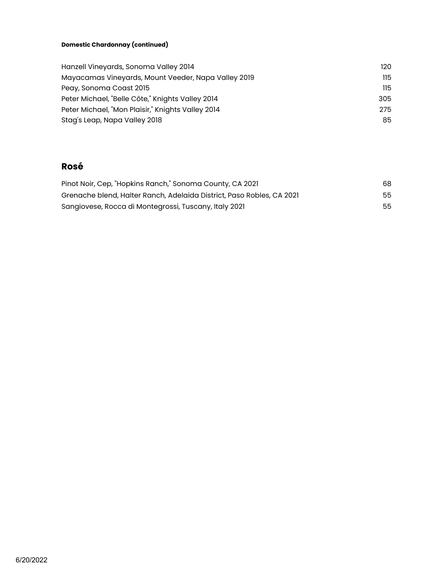#### **Domestic Chardonnay (continued)**

| Hanzell Vineyards, Sonoma Valley 2014               | 120 |
|-----------------------------------------------------|-----|
| Mayacamas Vineyards, Mount Veeder, Napa Valley 2019 | 115 |
| Peay, Sonoma Coast 2015                             | 115 |
| Peter Michael, "Belle Côte," Knights Valley 2014    | 305 |
| Peter Michael, "Mon Plaisir," Knights Valley 2014   | 275 |
| Stag's Leap, Napa Valley 2018                       | 85  |

# **Rosé**

| Pinot Noir, Cep, "Hopkins Ranch," Sonoma County, CA 2021              | 68 |
|-----------------------------------------------------------------------|----|
| Grenache blend, Halter Ranch, Adelaida District, Paso Robles, CA 2021 | 55 |
| Sangiovese, Rocca di Montegrossi, Tuscany, Italy 2021                 | 55 |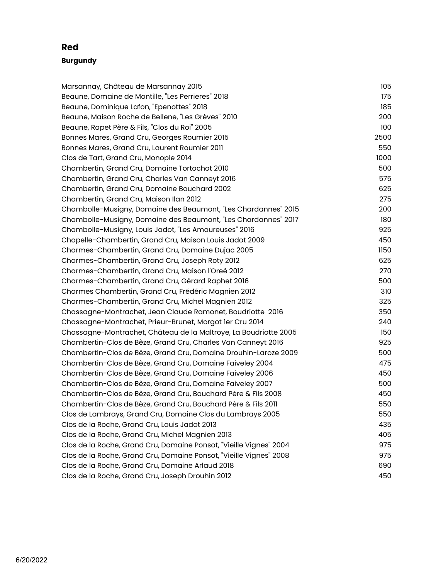# **Red**

# **Burgundy**

| Marsannay, Château de Marsannay 2015                               | 105  |
|--------------------------------------------------------------------|------|
| Beaune, Domaine de Montille, "Les Perrieres" 2018                  | 175  |
| Beaune, Dominique Lafon, "Epenottes" 2018                          | 185  |
| Beaune, Maison Roche de Bellene, "Les Grèves" 2010                 | 200  |
| Beaune, Rapet Père & Fils, "Clos du Roi" 2005                      | 100  |
| Bonnes Mares, Grand Cru, Georges Roumier 2015                      | 2500 |
| Bonnes Mares, Grand Cru, Laurent Roumier 2011                      | 550  |
| Clos de Tart, Grand Cru, Monople 2014                              | 1000 |
| Chambertin, Grand Cru, Domaine Tortochot 2010                      | 500  |
| Chambertin, Grand Cru, Charles Van Canneyt 2016                    | 575  |
| Chambertin, Grand Cru, Domaine Bouchard 2002                       | 625  |
| Chambertin, Grand Cru, Maison Ilan 2012                            | 275  |
| Chambolle-Musigny, Domaine des Beaumont, "Les Chardannes" 2015     | 200  |
| Chambolle-Musigny, Domaine des Beaumont, "Les Chardannes" 2017     | 180  |
| Chambolle-Musigny, Louis Jadot, "Les Amoureuses" 2016              | 925  |
| Chapelle-Chambertin, Grand Cru, Maison Louis Jadot 2009            | 450  |
| Charmes-Chambertin, Grand Cru, Domaine Dujac 2005                  | 1150 |
| Charmes-Chambertin, Grand Cru, Joseph Roty 2012                    | 625  |
| Charmes-Chambertin, Grand Cru, Maison l'Oreé 2012                  | 270  |
| Charmes-Chambertin, Grand Cru, Gérard Raphet 2016                  | 500  |
| Charmes Chambertin, Grand Cru, Frédéric Magnien 2012               | 310  |
| Charmes-Chambertin, Grand Cru, Michel Magnien 2012                 | 325  |
| Chassagne-Montrachet, Jean Claude Ramonet, Boudriotte 2016         | 350  |
| Chassagne-Montrachet, Prieur-Brunet, Morgot ler Cru 2014           | 240  |
| Chassagne-Montrachet, Château de la Maltroye, La Boudriotte 2005   | 150  |
| Chambertin-Clos de Bèze, Grand Cru, Charles Van Canneyt 2016       | 925  |
| Chambertin-Clos de Bèze, Grand Cru, Domaine Drouhin-Laroze 2009    | 500  |
| Chambertin-Clos de Bèze, Grand Cru, Domaine Faiveley 2004          | 475  |
| Chambertin-Clos de Bèze, Grand Cru, Domaine Faiveley 2006          | 450  |
| Chambertin-Clos de Bèze, Grand Cru, Domaine Faiveley 2007          | 500  |
| Chambertin-Clos de Bèze, Grand Cru, Bouchard Père & Fils 2008      | 450  |
| Chambertin-Clos de Bèze, Grand Cru, Bouchard Père & Fils 2011      | 550  |
| Clos de Lambrays, Grand Cru, Domaine Clos du Lambrays 2005         | 550  |
| Clos de la Roche, Grand Cru, Louis Jadot 2013                      | 435  |
| Clos de la Roche, Grand Cru, Michel Magnien 2013                   | 405  |
| Clos de la Roche, Grand Cru, Domaine Ponsot, "Vieille Vignes" 2004 | 975  |
| Clos de la Roche, Grand Cru, Domaine Ponsot, "Vieille Vignes" 2008 | 975  |
| Clos de la Roche, Grand Cru, Domaine Arlaud 2018                   | 690  |
| Clos de la Roche, Grand Cru, Joseph Drouhin 2012                   | 450  |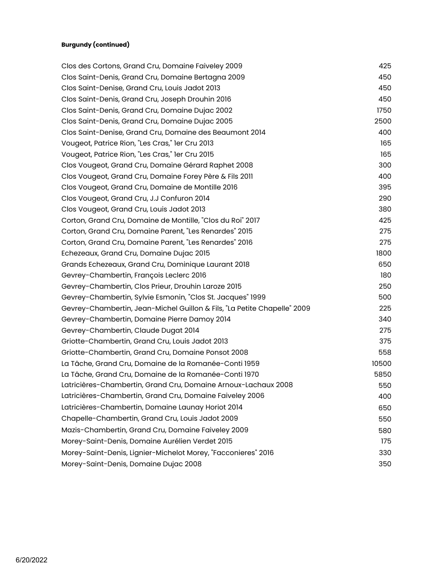### **Burgundy (continued)**

| Clos des Cortons, Grand Cru, Domaine Faiveley 2009                       | 425   |
|--------------------------------------------------------------------------|-------|
| Clos Saint-Denis, Grand Cru, Domaine Bertagna 2009                       | 450   |
| Clos Saint-Denise, Grand Cru, Louis Jadot 2013                           | 450   |
| Clos Saint-Denis, Grand Cru, Joseph Drouhin 2016                         | 450   |
| Clos Saint-Denis, Grand Cru, Domaine Dujac 2002                          | 1750  |
| Clos Saint-Denis, Grand Cru, Domaine Dujac 2005                          | 2500  |
| Clos Saint-Denise, Grand Cru, Domaine des Beaumont 2014                  | 400   |
| Vougeot, Patrice Rion, "Les Cras," ler Cru 2013                          | 165   |
| Vougeot, Patrice Rion, "Les Cras," ler Cru 2015                          | 165   |
| Clos Vougeot, Grand Cru, Domaine Gérard Raphet 2008                      | 300   |
| Clos Vougeot, Grand Cru, Domaine Forey Père & Fils 2011                  | 400   |
| Clos Vougeot, Grand Cru, Domaine de Montille 2016                        | 395   |
| Clos Vougeot, Grand Cru, J.J Confuron 2014                               | 290   |
| Clos Vougeot, Grand Cru, Louis Jadot 2013                                | 380   |
| Corton, Grand Cru, Domaine de Montille, "Clos du Roi" 2017               | 425   |
| Corton, Grand Cru, Domaine Parent, "Les Renardes" 2015                   | 275   |
| Corton, Grand Cru, Domaine Parent, "Les Renardes" 2016                   | 275   |
| Echezeaux, Grand Cru, Domaine Dujac 2015                                 | 1800  |
| Grands Echezeaux, Grand Cru, Dominique Laurant 2018                      | 650   |
| Gevrey-Chambertin, François Leclerc 2016                                 | 180   |
| Gevrey-Chambertin, Clos Prieur, Drouhin Laroze 2015                      | 250   |
| Gevrey-Chambertin, Sylvie Esmonin, "Clos St. Jacques" 1999               | 500   |
| Gevrey-Chambertin, Jean-Michel Guillon & Fils, "La Petite Chapelle" 2009 | 225   |
| Gevrey-Chambertin, Domaine Pierre Damoy 2014                             | 340   |
| Gevrey-Chambertin, Claude Dugat 2014                                     | 275   |
| Griotte-Chambertin, Grand Cru, Louis Jadot 2013                          | 375   |
| Griotte-Chambertin, Grand Cru, Domaine Ponsot 2008                       | 558   |
| La Tâche, Grand Cru, Domaine de la Romanée-Conti 1959                    | 10500 |
| La Tâche, Grand Cru, Domaine de la Romanée-Conti 1970                    | 5850  |
| Latricières-Chambertin, Grand Cru, Domaine Arnoux-Lachaux 2008           | 550   |
| Latricières-Chambertin, Grand Cru, Domaine Faiveley 2006                 | 400   |
| Latricières-Chambertin, Domaine Launay Horiot 2014                       | 650   |
| Chapelle-Chambertin, Grand Cru, Louis Jadot 2009                         | 550   |
| Mazis-Chambertin, Grand Cru, Domaine Faiveley 2009                       | 580   |
| Morey-Saint-Denis, Domaine Aurélien Verdet 2015                          | 175   |
| Morey-Saint-Denis, Lignier-Michelot Morey, "Facconieres" 2016            | 330   |
| Morey-Saint-Denis, Domaine Dujac 2008                                    | 350   |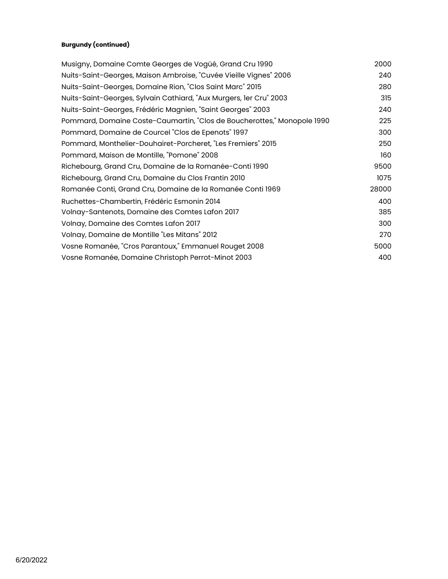### **Burgundy (continued)**

| Musigny, Domaine Comte Georges de Vogüé, Grand Cru 1990                 | 2000  |
|-------------------------------------------------------------------------|-------|
| Nuits-Saint-Georges, Maison Ambroise, "Cuvée Vieille Vignes" 2006       | 240   |
| Nuits-Saint-Georges, Domaine Rion, "Clos Saint Marc" 2015               | 280   |
| Nuits-Saint-Georges, Sylvain Cathiard, "Aux Murgers, 1er Cru" 2003      | 315   |
| Nuits-Saint-Georges, Frédéric Magnien, "Saint Georges" 2003             | 240   |
| Pommard, Domaine Coste-Caumartin, "Clos de Boucherottes," Monopole 1990 | 225   |
| Pommard, Domaine de Courcel "Clos de Epenots" 1997                      | 300   |
| Pommard, Monthelier-Douhairet-Porcheret, "Les Fremiers" 2015            | 250   |
| Pommard, Maison de Montille, "Pomone" 2008                              | 160   |
| Richebourg, Grand Cru, Domaine de la Romanée-Conti 1990                 | 9500  |
| Richebourg, Grand Cru, Domaine du Clos Frantin 2010                     | 1075  |
| Romanée Conti, Grand Cru, Domaine de la Romanée Conti 1969              | 28000 |
| Ruchettes-Chambertin, Frédéric Esmonin 2014                             | 400   |
| Volnay-Santenots, Domaine des Comtes Lafon 2017                         | 385   |
| Volnay, Domaine des Comtes Lafon 2017                                   | 300   |
| Volnay, Domaine de Montille "Les Mitans" 2012                           | 270   |
| Vosne Romanée, "Cros Parantoux," Emmanuel Rouget 2008                   | 5000  |
| Vosne Romanée, Domaine Christoph Perrot-Minot 2003                      | 400   |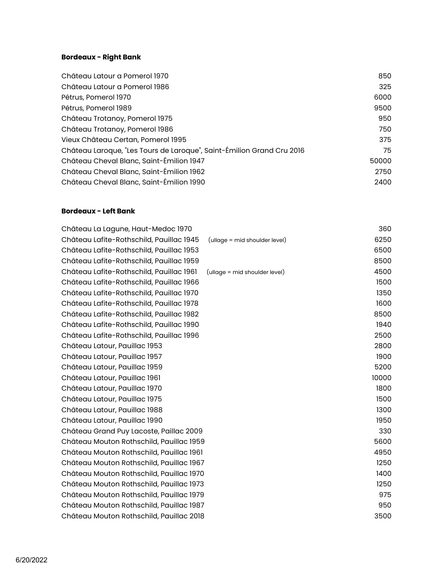# **Bordeaux - Right Bank**

| Château Latour a Pomerol 1970                                         | 850   |
|-----------------------------------------------------------------------|-------|
| Château Latour a Pomerol 1986                                         | 325   |
| Pétrus, Pomerol 1970                                                  | 6000  |
| Pétrus, Pomerol 1989                                                  | 9500  |
| Château Trotanoy, Pomerol 1975                                        | 950   |
| Château Trotanoy, Pomerol 1986                                        | 750   |
| Vieux Château Certan, Pomerol 1995                                    | 375   |
| Château Laroque, "Les Tours de Laroque", Saint-Émilion Grand Cru 2016 | 75    |
| Château Cheval Blanc, Saint-Émilion 1947                              | 50000 |
| Château Cheval Blanc, Saint-Émilion 1962                              | 2750  |
| Château Cheval Blanc, Saint-Émilion 1990                              | 2400  |

#### **Bordeaux - Left Bank**

| Château La Lagune, Haut-Medoc 1970                                        | 360   |
|---------------------------------------------------------------------------|-------|
| Château Lafite-Rothschild, Pauillac 1945<br>(ullage = mid shoulder level) | 6250  |
| Château Lafite-Rothschild, Pauillac 1953                                  | 6500  |
| Château Lafite-Rothschild, Pauillac 1959                                  | 8500  |
| Château Lafite-Rothschild, Pauillac 1961<br>(ullage = mid shoulder level) | 4500  |
| Château Lafite-Rothschild, Pauillac 1966                                  | 1500  |
| Château Lafite-Rothschild, Pauillac 1970                                  | 1350  |
| Château Lafite-Rothschild, Pauillac 1978                                  | 1600  |
| Château Lafite-Rothschild, Pauillac 1982                                  | 8500  |
| Château Lafite-Rothschild, Pauillac 1990                                  | 1940  |
| Château Lafite-Rothschild, Pauillac 1996                                  | 2500  |
| Château Latour, Pauillac 1953                                             | 2800  |
| Château Latour, Pauillac 1957                                             | 1900  |
| Château Latour, Pauillac 1959                                             | 5200  |
| Château Latour, Pauillac 1961                                             | 10000 |
| Château Latour, Pauillac 1970                                             | 1800  |
| Château Latour, Pauillac 1975                                             | 1500  |
| Château Latour, Pauillac 1988                                             | 1300  |
| Château Latour, Pauillac 1990                                             | 1950  |
| Château Grand Puy Lacoste, Paillac 2009                                   | 330   |
| Château Mouton Rothschild, Pauillac 1959                                  | 5600  |
| Château Mouton Rothschild, Pauillac 1961                                  | 4950  |
| Château Mouton Rothschild, Pauillac 1967                                  | 1250  |
| Château Mouton Rothschild, Pauillac 1970                                  | 1400  |
| Château Mouton Rothschild, Pauillac 1973                                  | 1250  |
| Château Mouton Rothschild, Pauillac 1979                                  | 975   |
| Château Mouton Rothschild, Pauillac 1987                                  | 950   |
| Château Mouton Rothschild, Pauillac 2018                                  | 3500  |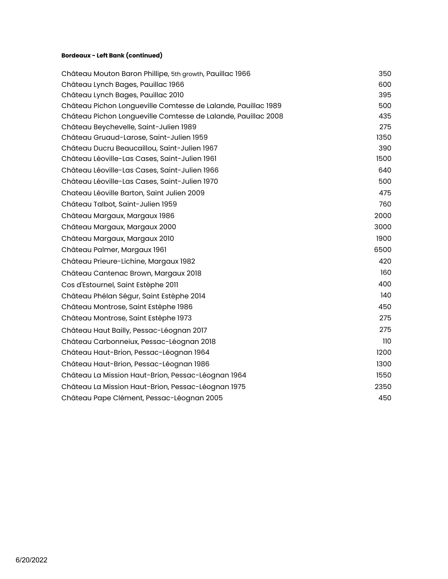### **Bordeaux - Left Bank (continued)**

| Château Mouton Baron Phillipe, 5th growth, Pauillac 1966      | 350  |
|---------------------------------------------------------------|------|
| Château Lynch Bages, Pauillac 1966                            | 600  |
| Château Lynch Bages, Pauillac 2010                            | 395  |
| Château Pichon Longueville Comtesse de Lalande, Pauillac 1989 | 500  |
| Château Pichon Longueville Comtesse de Lalande, Pauillac 2008 | 435  |
| Château Beychevelle, Saint-Julien 1989                        | 275  |
| Château Gruaud-Larose, Saint-Julien 1959                      | 1350 |
| Château Ducru Beaucaillou, Saint-Julien 1967                  | 390  |
| Château Léoville-Las Cases, Saint-Julien 1961                 | 1500 |
| Château Léoville-Las Cases, Saint-Julien 1966                 | 640  |
| Château Léoville-Las Cases, Saint-Julien 1970                 | 500  |
| Chateau Léoville Barton, Saint Julien 2009                    | 475  |
| Château Talbot, Saint-Julien 1959                             | 760  |
| Château Margaux, Margaux 1986                                 | 2000 |
| Château Margaux, Margaux 2000                                 | 3000 |
| Château Margaux, Margaux 2010                                 | 1900 |
| Château Palmer, Margaux 1961                                  | 6500 |
| Château Prieure-Lichine, Margaux 1982                         | 420  |
| Château Cantenac Brown, Margaux 2018                          | 160  |
| Cos d'Estournel, Saint Estèphe 2011                           | 400  |
| Château Phélan Ségur, Saint Estèphe 2014                      | 140  |
| Château Montrose, Saint Estèphe 1986                          | 450  |
| Château Montrose, Saint Estèphe 1973                          | 275  |
| Château Haut Bailly, Pessac-Léognan 2017                      | 275  |
| Château Carbonneiux, Pessac-Léognan 2018                      | 110  |
| Château Haut-Brion, Pessac-Léognan 1964                       | 1200 |
| Château Haut-Brion, Pessac-Léognan 1986                       | 1300 |
| Château La Mission Haut-Brion, Pessac-Léognan 1964            | 1550 |
| Château La Mission Haut-Brion, Pessac-Léognan 1975            | 2350 |
| Château Pape Clément, Pessac-Léognan 2005                     | 450  |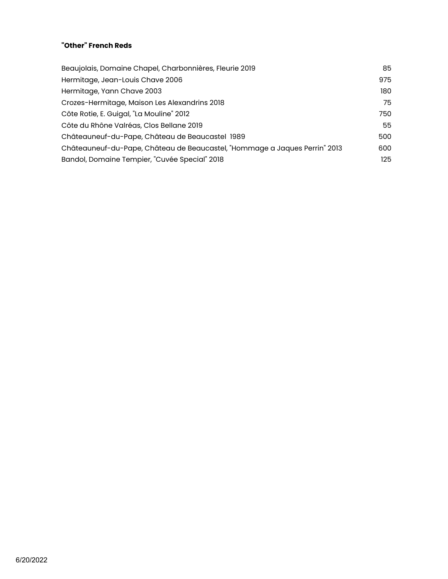### **"Other" French Reds**

| Beaujolais, Domaine Chapel, Charbonnières, Fleurie 2019                    | 85  |
|----------------------------------------------------------------------------|-----|
| Hermitage, Jean-Louis Chave 2006                                           | 975 |
| Hermitage, Yann Chave 2003                                                 | 180 |
| Crozes-Hermitage, Maison Les Alexandrins 2018                              | 75  |
| Côte Rotie, E. Guigal, "La Mouline" 2012                                   | 750 |
| Côte du Rhône Valréas, Clos Bellane 2019                                   | 55  |
| Châteauneuf-du-Pape, Château de Beaucastel 1989                            | 500 |
| Châteauneuf-du-Pape, Château de Beaucastel, "Hommage a Jaques Perrin" 2013 | 600 |
| Bandol, Domaine Tempier, "Cuvée Special" 2018                              | 125 |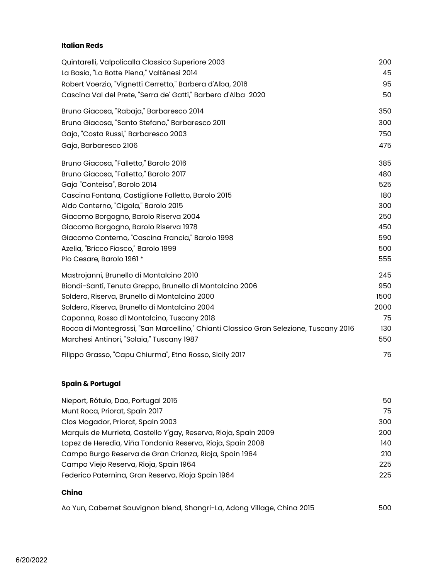### **Italian Reds**

| Quintarelli, Valpolicalla Classico Superiore 2003                                     | 200  |
|---------------------------------------------------------------------------------------|------|
| La Basia, "La Botte Piena," Valtènesi 2014                                            | 45   |
| Robert Voerzio, "Vignetti Cerretto," Barbera d'Alba, 2016                             | 95   |
| Cascina Val del Prete, "Serra de' Gatti," Barbera d'Alba 2020                         | 50   |
| Bruno Giacosa, "Rabaja," Barbaresco 2014                                              | 350  |
| Bruno Giacosa, "Santo Stefano," Barbaresco 2011                                       | 300  |
| Gaja, "Costa Russi," Barbaresco 2003                                                  | 750  |
| Gaja, Barbaresco 2106                                                                 | 475  |
| Bruno Giacosa, "Falletto," Barolo 2016                                                | 385  |
| Bruno Giacosa, "Falletto," Barolo 2017                                                | 480  |
| Gaja "Conteisa", Barolo 2014                                                          | 525  |
| Cascina Fontana, Castiglione Falletto, Barolo 2015                                    | 180  |
| Aldo Conterno, "Cigala," Barolo 2015                                                  | 300  |
| Giacomo Borgogno, Barolo Riserva 2004                                                 | 250  |
| Giacomo Borgogno, Barolo Riserva 1978                                                 | 450  |
| Giacomo Conterno, "Cascina Francia," Barolo 1998                                      | 590  |
| Azelia, "Bricco Fiasco," Barolo 1999                                                  | 500  |
| Pio Cesare, Barolo 1961 *                                                             | 555  |
| Mastrojanni, Brunello di Montalcino 2010                                              | 245  |
| Biondi-Santi, Tenuta Greppo, Brunello di Montalcino 2006                              | 950  |
| Soldera, Riserva, Brunello di Montalcino 2000                                         | 1500 |
| Soldera, Riserva, Brunello di Montalcino 2004                                         | 2000 |
| Capanna, Rosso di Montalcino, Tuscany 2018                                            | 75   |
| Rocca di Montegrossi, "San Marcellino," Chianti Classico Gran Selezione, Tuscany 2016 | 130  |
| Marchesi Antinori, "Solaia," Tuscany 1987                                             | 550  |
| Filippo Grasso, "Capu Chiurma", Etna Rosso, Sicily 2017                               | 75   |

# **Spain & Portugal**

| Nieport, Rótulo, Dao, Portugal 2015                             | 50  |
|-----------------------------------------------------------------|-----|
| Munt Roca, Priorat, Spain 2017                                  | 75  |
| Clos Mogador, Priorat, Spain 2003                               | 300 |
| Marquis de Murrieta, Castello Y'gay, Reserva, Rioja, Spain 2009 | 200 |
| Lopez de Heredia, Viña Tondonia Reserva, Rioja, Spain 2008      | 140 |
| Campo Burgo Reserva de Gran Crianza, Rioja, Spain 1964          | 210 |
| Campo Viejo Reserva, Rioja, Spain 1964                          | 225 |
| Federico Paternina, Gran Reserva, Rioja Spain 1964              | 225 |

### **China**

| Ao Yun, Cabernet Sauvignon blend, Shangri-La, Adong Village, China 2015 | 500 |
|-------------------------------------------------------------------------|-----|
|                                                                         |     |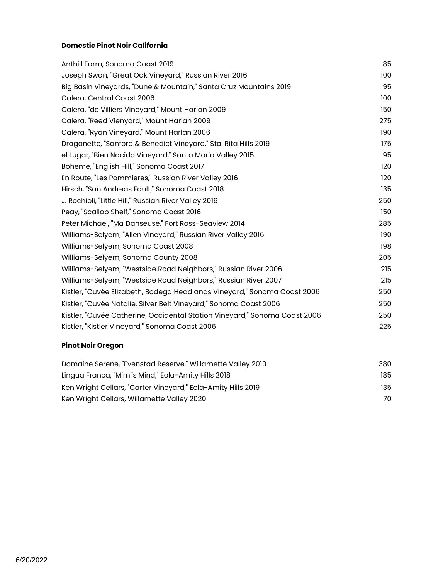### **Domestic Pinot Noir California**

| Anthill Farm, Sonoma Coast 2019                                            | 85  |
|----------------------------------------------------------------------------|-----|
| Joseph Swan, "Great Oak Vineyard," Russian River 2016                      | 100 |
| Big Basin Vineyards, "Dune & Mountain," Santa Cruz Mountains 2019          | 95  |
| Calera, Central Coast 2006                                                 | 100 |
| Calera, "de Villiers Vineyard," Mount Harlan 2009                          | 150 |
| Calera, "Reed Vienyard," Mount Harlan 2009                                 | 275 |
| Calera, "Ryan Vineyard," Mount Harlan 2006                                 | 190 |
| Dragonette, "Sanford & Benedict Vineyard," Sta. Rita Hills 2019            | 175 |
| el Lugar, "Bien Nacido Vineyard," Santa Maria Valley 2015                  | 95  |
| Bohème, "English Hill," Sonoma Coast 2017                                  | 120 |
| En Route, "Les Pommieres," Russian River Valley 2016                       | 120 |
| Hirsch, "San Andreas Fault," Sonoma Coast 2018                             | 135 |
| J. Rochioli, "Little Hill," Russian River Valley 2016                      | 250 |
| Peay, "Scallop Shelf," Sonoma Coast 2016                                   | 150 |
| Peter Michael, "Ma Danseuse," Fort Ross-Seaview 2014                       | 285 |
| Williams-Selyem, "Allen Vineyard," Russian River Valley 2016               | 190 |
| Williams-Selyem, Sonoma Coast 2008                                         | 198 |
| Williams-Selyem, Sonoma County 2008                                        | 205 |
| Williams-Selyem, "Westside Road Neighbors," Russian River 2006             | 215 |
| Williams-Selyem, "Westside Road Neighbors," Russian River 2007             | 215 |
| Kistler, "Cuvée Elizabeth, Bodega Headlands Vineyard," Sonoma Coast 2006   | 250 |
| Kistler, "Cuvée Natalie, Silver Belt Vineyard," Sonoma Coast 2006          | 250 |
| Kistler, "Cuvée Catherine, Occidental Station Vineyard," Sonoma Coast 2006 | 250 |
| Kistler, "Kistler Vineyard," Sonoma Coast 2006                             | 225 |

### **Pinot Noir Oregon**

| Domaine Serene, "Evenstad Reserve," Willamette Valley 2010   | 380 |
|--------------------------------------------------------------|-----|
| Lingua Franca, "Mimi's Mind," Eola-Amity Hills 2018          | 185 |
| Ken Wright Cellars, "Carter Vineyard," Eola-Amity Hills 2019 | 135 |
| Ken Wright Cellars, Willamette Valley 2020                   | 70. |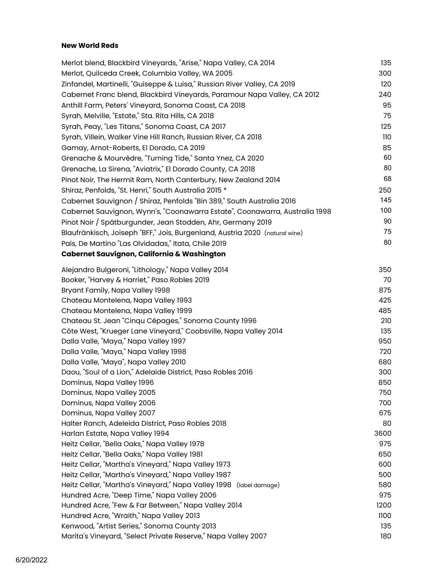#### **New World Reds**

| Merlot blend, Blackbird Vineyards, "Arise," Napa Valley, CA 2014                                                         | 135        |
|--------------------------------------------------------------------------------------------------------------------------|------------|
| Merlot, Quilceda Creek, Columbia Valley, WA 2005                                                                         | 300        |
| Zinfandel, Martinelli, "Guiseppe & Luisa," Russian River Valley, CA 2019                                                 | 120        |
| Cabernet Franc blend, Blackbird Vineyards, Paramour Napa Valley, CA 2012                                                 | 240        |
| Anthill Farm, Peters' Vineyard, Sonoma Coast, CA 2018                                                                    | 95         |
| Syrah, Melville, "Estate," Sta. Rita Hills, CA 2018                                                                      | 75         |
| Syrah, Peay, "Les Titans," Sonoma Coast, CA 2017                                                                         | 125        |
| Syrah, Villein, Walker Vine Hill Ranch, Russian River, CA 2018                                                           | 110        |
| Gamay, Arnot-Roberts, El Dorado, CA 2019                                                                                 | 85         |
| Grenache & Mourvèdre, "Turning Tide," Santa Ynez, CA 2020                                                                | 60         |
| Grenache, La Sirena, "Aviatrix," El Dorado County, CA 2018                                                               | 80         |
| Pinot Noir, The Hermit Ram, North Canterbury, New Zealand 2014                                                           | 68         |
| Shiraz, Penfolds, "St. Henri," South Australia 2015 *                                                                    | 250        |
| Cabernet Sauvignon / Shiraz, Penfolds "Bin 389," South Australia 2016                                                    | 145        |
| Cabernet Sauvignon, Wynn's, "Coonawarra Estate", Coonawarra, Australia 1998                                              | 100        |
| Pinot Noir / Spätburgunder, Jean Stodden, Ahr, Germany 2019                                                              | 90         |
| Blaufränkisch, Joiseph "BFF," Jois, Burgenland, Austria 2020 (natural wine)                                              | 75         |
| País, De Martino "Las Olvidadas," Itata, Chile 2019                                                                      | 80         |
| Cabernet Sauvignon, California & Washington                                                                              |            |
|                                                                                                                          |            |
| Alejandro Bulgeroni, "Lithology," Napa Valley 2014                                                                       | 350        |
| Booker, "Harvey & Harriet," Paso Robles 2019                                                                             | 70         |
| Bryant Family, Napa Valley 1998                                                                                          | 875        |
| Chateau Montelena, Napa Valley 1993                                                                                      | 425<br>485 |
| Chateau Montelena, Napa Valley 1999                                                                                      | 210        |
| Chateau St. Jean "Cinqu Cépages," Sonoma County 1996<br>Côte West, "Krueger Lane Vineyard," Coobsville, Napa Valley 2014 | 135        |
| Dalla Valle, "Maya," Napa Valley 1997                                                                                    | 950        |
| Dalla Valle, "Maya," Napa Valley 1998                                                                                    | 720        |
| Dalla Valle, "Maya", Napa Valley 2010                                                                                    | 680        |
| Daou, "Soul of a Lion," Adelaide District, Paso Robles 2016                                                              | 300        |
| Dominus, Napa Valley 1996                                                                                                | 850        |
| Dominus, Napa Valley 2005                                                                                                | 750        |
| Dominus, Napa Valley 2006                                                                                                | 700        |
| Dominus, Napa Valley 2007                                                                                                | 675        |
| Halter Ranch, Adeleida District, Paso Robles 2018                                                                        | 80         |
| Harlan Estate, Napa Valley 1994                                                                                          | 3600       |
| Heitz Cellar, "Bella Oaks," Napa Valley 1978                                                                             | 975        |
| Heitz Cellar, "Bella Oaks," Napa Valley 1981                                                                             | 650        |
| Heitz Cellar, "Martha's Vineyard," Napa Valley 1973                                                                      | 600        |
| Heitz Cellar, "Martha's Vineyard," Napa Valley 1987                                                                      | 500        |
| Heitz Cellar, "Martha's Vineyard," Napa Valley 1998 (label damage)                                                       | 580        |
| Hundred Acre, "Deep Time," Napa Valley 2006                                                                              | 975        |
| Hundred Acre, "Few & Far Between," Napa Valley 2014                                                                      | 1200       |
| Hundred Acre, "Wraith," Napa Valley 2013                                                                                 | 1100       |
| Kenwood, "Artist Series," Sonoma County 2013                                                                             | 135        |
| Marita's Vineyard, "Select Private Reserve," Napa Valley 2007                                                            | 180        |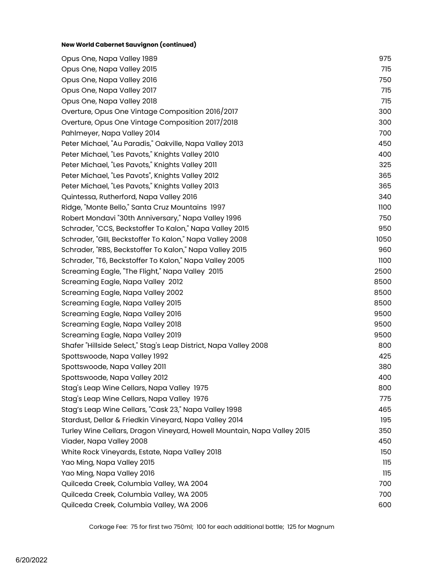#### **New World Cabernet Sauvignon (continued)**

| Opus One, Napa Valley 1989                                              | 975  |
|-------------------------------------------------------------------------|------|
| Opus One, Napa Valley 2015                                              | 715  |
| Opus One, Napa Valley 2016                                              | 750  |
| Opus One, Napa Valley 2017                                              | 715  |
| Opus One, Napa Valley 2018                                              | 715  |
| Overture, Opus One Vintage Composition 2016/2017                        | 300  |
| Overture, Opus One Vintage Composition 2017/2018                        | 300  |
| Pahlmeyer, Napa Valley 2014                                             | 700  |
| Peter Michael, "Au Paradis," Oakville, Napa Valley 2013                 | 450  |
| Peter Michael, "Les Pavots," Knights Valley 2010                        | 400  |
| Peter Michael, "Les Pavots," Knights Valley 2011                        | 325  |
| Peter Michael, "Les Pavots", Knights Valley 2012                        | 365  |
| Peter Michael, "Les Pavots," Knights Valley 2013                        | 365  |
| Quintessa, Rutherford, Napa Valley 2016                                 | 340  |
| Ridge, "Monte Bello," Santa Cruz Mountains 1997                         | 1100 |
| Robert Mondavi "30th Anniversary," Napa Valley 1996                     | 750  |
| Schrader, "CCS, Beckstoffer To Kalon," Napa Valley 2015                 | 950  |
| Schrader, "GIII, Beckstoffer To Kalon," Napa Valley 2008                | 1050 |
| Schrader, "RBS, Beckstoffer To Kalon," Napa Valley 2015                 | 960  |
| Schrader, "T6, Beckstoffer To Kalon," Napa Valley 2005                  | 1100 |
| Screaming Eagle, "The Flight," Napa Valley 2015                         | 2500 |
| Screaming Eagle, Napa Valley 2012                                       | 8500 |
| Screaming Eagle, Napa Valley 2002                                       | 8500 |
| Screaming Eagle, Napa Valley 2015                                       | 8500 |
| Screaming Eagle, Napa Valley 2016                                       | 9500 |
| Screaming Eagle, Napa Valley 2018                                       | 9500 |
| Screaming Eagle, Napa Valley 2019                                       | 9500 |
| Shafer "Hillside Select," Stag's Leap District, Napa Valley 2008        | 800  |
| Spottswoode, Napa Valley 1992                                           | 425  |
| Spottswoode, Napa Valley 2011                                           | 380  |
| Spottswoode, Napa Valley 2012                                           | 400  |
| Stag's Leap Wine Cellars, Napa Valley 1975                              | 800  |
| Stag's Leap Wine Cellars, Napa Valley 1976                              | 775  |
| Stag's Leap Wine Cellars, "Cask 23," Napa Valley 1998                   | 465  |
| Stardust, Dellar & Friedkin Vineyard, Napa Valley 2014                  | 195  |
| Turley Wine Cellars, Dragon Vineyard, Howell Mountain, Napa Valley 2015 | 350  |
| Viader, Napa Valley 2008                                                | 450  |
| White Rock Vineyards, Estate, Napa Valley 2018                          | 150  |
| Yao Ming, Napa Valley 2015                                              | 115  |
| Yao Ming, Napa Valley 2016                                              | 115  |
| Quilceda Creek, Columbia Valley, WA 2004                                | 700  |
| Quilceda Creek, Columbia Valley, WA 2005                                | 700  |
| Quilceda Creek, Columbia Valley, WA 2006                                | 600  |

Corkage Fee: 75 for first two 750ml; 100 for each additional bottle; 125 for Magnum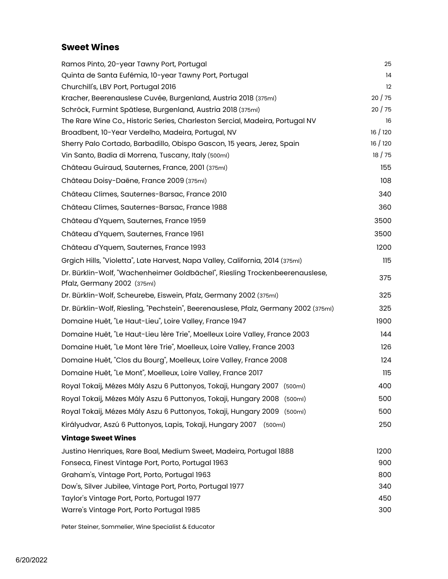# **Sweet Wines**

| Ramos Pinto, 20-year Tawny Port, Portugal                                                                  | 25      |
|------------------------------------------------------------------------------------------------------------|---------|
| Quinta de Santa Eufémia, 10-year Tawny Port, Portugal                                                      | 14      |
| Churchill's, LBV Port, Portugal 2016                                                                       | $12 \,$ |
| Kracher, Beerenauslese Cuvée, Burgenland, Austria 2018 (375ml)                                             | 20/75   |
| Schröck, Furmint Spätlese, Burgenland, Austria 2018 (375ml)                                                | 20/75   |
| The Rare Wine Co., Historic Series, Charleston Sercial, Madeira, Portugal NV                               | 16      |
| Broadbent, 10-Year Verdelho, Madeira, Portugal, NV                                                         | 16/120  |
| Sherry Palo Cortado, Barbadillo, Obispo Gascon, 15 years, Jerez, Spain                                     | 16/120  |
| Vin Santo, Badia di Morrena, Tuscany, Italy (500ml)                                                        | 18/75   |
| Château Guiraud, Sauternes, France, 2001 (375ml)                                                           | 155     |
| Château Doisy-Daëne, France 2009 (375ml)                                                                   | 108     |
| Château Climes, Sauternes-Barsac, France 2010                                                              | 340     |
| Château Climes, Sauternes-Barsac, France 1988                                                              | 360     |
| Château d'Yquem, Sauternes, France 1959                                                                    | 3500    |
| Château d'Yquem, Sauternes, France 1961                                                                    | 3500    |
| Château d'Yquem, Sauternes, France 1993                                                                    | 1200    |
| Grgich Hills, "Violetta", Late Harvest, Napa Valley, California, 2014 (375ml)                              | 115     |
| Dr. Bürklin-Wolf, "Wachenheimer Goldbächel", Riesling Trockenbeerenauslese,<br>Pfalz, Germany 2002 (375ml) | 375     |
| Dr. Bürklin-Wolf, Scheurebe, Eiswein, Pfalz, Germany 2002 (375ml)                                          | 325     |
| Dr. Bürklin-Wolf, Riesling, "Pechstein", Beerenauslese, Pfalz, Germany 2002 (375ml)                        | 325     |
| Domaine Huët, "Le Haut-Lieu", Loire Valley, France 1947                                                    | 1900    |
| Domaine Huët, "Le Haut-Lieu lère Trie", Moelleux Loire Valley, France 2003                                 | 144     |
| Domaine Huët, "Le Mont lère Trie", Moelleux, Loire Valley, France 2003                                     | 126     |
| Domaine Huët, "Clos du Bourg", Moelleux, Loire Valley, France 2008                                         | 124     |
| Domaine Huët, "Le Mont", Moelleux, Loire Valley, France 2017                                               | 115     |
| Royal Tokaij, Mézes Mály Aszu 6 Puttonyos, Tokaji, Hungary 2007 (500ml)                                    | 400     |
| Royal Tokaij, Mézes Mály Aszu 6 Puttonyos, Tokaji, Hungary 2008 (500ml)                                    | 500     |
| Royal Tokaij, Mézes Mály Aszu 6 Puttonyos, Tokaji, Hungary 2009 (500ml)                                    | 500     |
| Királyudvar, Aszú 6 Puttonyos, Lapis, Tokaji, Hungary 2007 (500ml)                                         | 250     |
| <b>Vintage Sweet Wines</b>                                                                                 |         |
| Justino Henriques, Rare Boal, Medium Sweet, Madeira, Portugal 1888                                         | 1200    |
| Fonseca, Finest Vintage Port, Porto, Portugal 1963                                                         | 900     |
| Graham's, Vintage Port, Porto, Portugal 1963                                                               | 800     |
| Dow's, Silver Jubilee, Vintage Port, Porto, Portugal 1977                                                  | 340     |
| Taylor's Vintage Port, Porto, Portugal 1977                                                                | 450     |
| Warre's Vintage Port, Porto Portugal 1985                                                                  | 300     |

Peter Steiner, Sommelier, Wine Specialist & Educator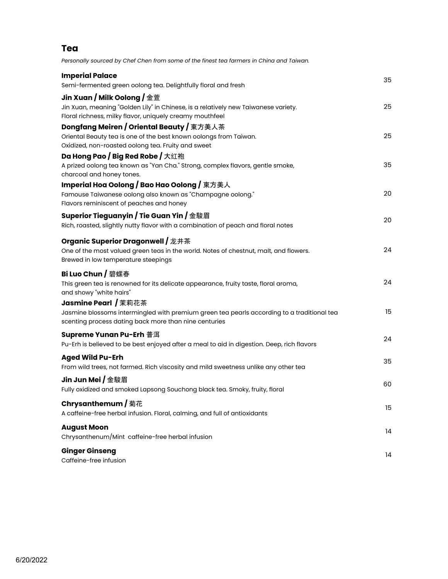| Personally sourced by Chef Chen from some of the finest tea farmers in China and Taiwan.                                                                                      |    |
|-------------------------------------------------------------------------------------------------------------------------------------------------------------------------------|----|
| <b>Imperial Palace</b>                                                                                                                                                        | 35 |
| Semi-fermented green oolong tea. Delightfully floral and fresh                                                                                                                |    |
| Jin Xuan / Milk Oolong / 金萱<br>Jin Xuan, meaning "Golden Lily" in Chinese, is a relatively new Taiwanese variety.<br>Floral richness, milky flavor, uniquely creamy mouthfeel | 25 |
| Dongfang Meiren / Oriental Beauty / 東方美人茶                                                                                                                                     |    |
| Oriental Beauty tea is one of the best known oolongs from Taiwan.<br>Oxidized, non-roasted oolong tea. Fruity and sweet                                                       | 25 |
| Da Hong Pao / Big Red Robe / 大红袍                                                                                                                                              |    |
| A prized oolong tea known as "Yan Cha." Strong, complex flavors, gentle smoke,<br>charcoal and honey tones.                                                                   | 35 |
| Imperial Hoa Oolong / Bao Hao Oolong / 東方美人                                                                                                                                   |    |
| Famouse Taiwanese oolong also known as "Champagne oolong."<br>Flavors reminiscent of peaches and honey                                                                        | 20 |
| Superior Tieguanyin / Tie Guan Yin / 金駿眉                                                                                                                                      | 20 |
| Rich, roasted, slightly nutty flavor with a combination of peach and floral notes                                                                                             |    |
| Organic Superior Dragonwell / 龙井茶                                                                                                                                             |    |
| One of the most valued green teas in the world. Notes of chestnut, malt, and flowers.<br>Brewed in low temperature steepings                                                  | 24 |
| Bi Luo Chun / 碧螺春                                                                                                                                                             |    |
| This green tea is renowned for its delicate appearance, fruity taste, floral aroma,<br>and showy "white hairs"                                                                | 24 |
| Jasmine Pearl / 茉莉花茶                                                                                                                                                          |    |
| Jasmine blossoms intermingled with premium green tea pearls according to a traditional tea<br>scenting process dating back more than nine centuries                           | 15 |
| Supreme Yunan Pu-Erh 普洱                                                                                                                                                       | 24 |
| Pu-Erh is believed to be best enjoyed after a meal to aid in digestion. Deep, rich flavors                                                                                    |    |
| Aged Wild Pu-Erh<br>From wild trees, not farmed. Rich viscosity and mild sweetness unlike any other tea                                                                       | 35 |
| Jin Jun Mei / 金駿眉<br>Fully oxidized and smoked Lapsong Souchong black tea. Smoky, fruity, floral                                                                              | 60 |
| Chrysanthemum / 菊花                                                                                                                                                            |    |
| A caffeine-free herbal infusion. Floral, calming, and full of antioxidants                                                                                                    | 15 |
| <b>August Moon</b>                                                                                                                                                            | 14 |
| Chrysanthenum/Mint caffeine-free herbal infusion                                                                                                                              |    |
| <b>Ginger Ginseng</b><br>Caffeine-free infusion                                                                                                                               | 14 |

**Tea**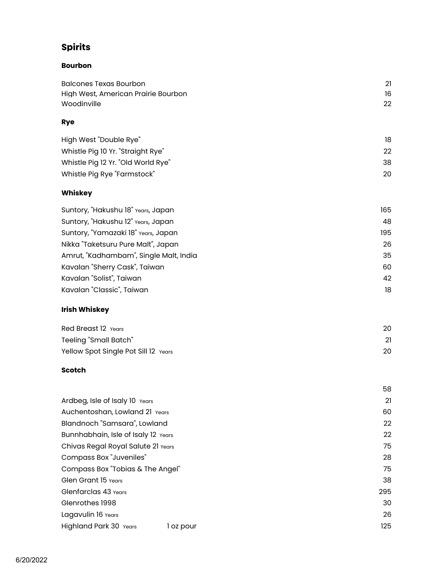# **Spirits**

### **Bourbon**

| Balcones Texas Bourbon              |  |
|-------------------------------------|--|
| High West, American Prairie Bourbon |  |
| Woodinville                         |  |

### **Rye**

| High West "Double Rye"             |    |
|------------------------------------|----|
| Whistle Pig 10 Yr. "Straight Rye"  |    |
| Whistle Pig 12 Yr. "Old World Rye" | 38 |
| Whistle Pig Rye "Farmstock"        | 20 |

### **Whiskey**

| Suntory, "Hakushu 18" Years, Japan     | 165 |
|----------------------------------------|-----|
| Suntory, "Hakushu 12" Years, Japan     | 48  |
| Suntory, "Yamazaki 18" Years, Japan    | 195 |
| Nikka "Taketsuru Pure Malt", Japan     | 26  |
| Amrut, "Kadhambam", Single Malt, India | 35  |
| Kavalan "Sherry Cask", Taiwan          | 60  |
| Kavalan "Solist", Taiwan               | 42  |
| Kavalan "Classic", Taiwan              | 18  |

# **Irish Whiskey**

| <b>Red Breast 12 Years</b>           |  |
|--------------------------------------|--|
| <b>Teeling "Small Batch"</b>         |  |
| Yellow Spot Single Pot Sill 12 Years |  |

### **Scotch**

|                                            | 58  |
|--------------------------------------------|-----|
| Ardbeg, Isle of Isaly 10 Years             | 21  |
| Auchentoshan, Lowland 21 Years             | 60  |
| Blandnoch "Samsara", Lowland               | 22  |
| Bunnhabhain, Isle of Isaly 12 Years        | 22  |
| Chivas Regal Royal Salute 21 Years         | 75  |
| <b>Compass Box "Juveniles"</b>             | 28  |
| Compass Box "Tobias & The Angel"           | 75  |
| Glen Grant 15 Years                        | 38  |
| Glenfarclas 43 Years                       | 295 |
| Glenrothes 1998                            | 30  |
| Lagavulin 16 Years                         | 26  |
| <b>Highland Park 30 Years</b><br>1 oz pour | 125 |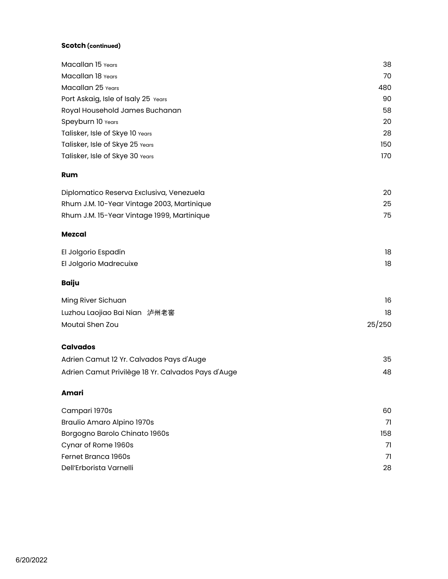### **Scotch (continued)**

| Macallan 15 Years                                  | 38     |
|----------------------------------------------------|--------|
| Macallan 18 Years                                  | 70     |
| Macallan 25 Years                                  | 480    |
| Port Askaig, Isle of Isaly 25 Years                | 90     |
| Royal Household James Buchanan                     | 58     |
| Speyburn 10 Years                                  | 20     |
| Talisker, Isle of Skye 10 Years                    | 28     |
| Talisker, Isle of Skye 25 Years                    | 150    |
| Talisker, Isle of Skye 30 Years                    | 170    |
| Rum                                                |        |
| Diplomatico Reserva Exclusiva, Venezuela           | 20     |
| Rhum J.M. 10-Year Vintage 2003, Martinique         | 25     |
| Rhum J.M. 15-Year Vintage 1999, Martinique         | 75     |
| Mezcal                                             |        |
| El Jolgorio Espadín                                | 18     |
| El Jolgorio Madrecuixe                             | 18     |
| Baiju                                              |        |
| Ming River Sichuan                                 | 16     |
| Luzhou Laojiao Bai Nian 泸州老窖                       | 18     |
| Moutai Shen Zou                                    | 25/250 |
| Calvados                                           |        |
| Adrien Camut 12 Yr. Calvados Pays d'Auge           | 35     |
| Adrien Camut Privilège 18 Yr. Calvados Pays d'Auge | 48     |
| Amari                                              |        |
| Campari 1970s                                      | 60     |
| <b>Braulio Amaro Alpino 1970s</b>                  | 71     |
| Borgogno Barolo Chinato 1960s                      | 158    |
| Cynar of Rome 1960s                                | 71     |
| Fernet Branca 1960s                                | 71     |

Dell'Erborista Varnelli 28